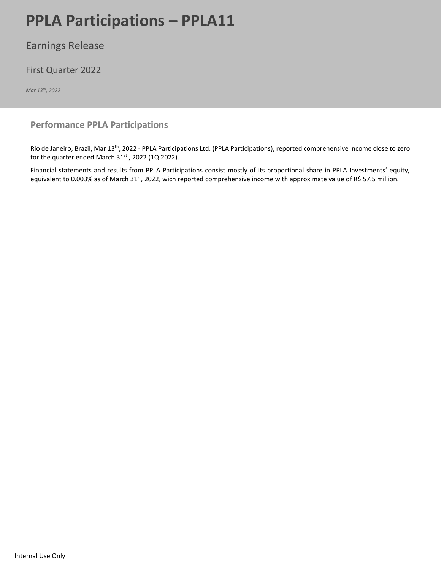# **PPLA Participations – PPLA11**

Earnings Release

# First Quarter 2022

*Mar 13 th, 2022*

# **Performance PPLA Participations**

Rio de Janeiro, Brazil, Mar 13<sup>th</sup>, 2022 - PPLA Participations Ltd. (PPLA Participations), reported comprehensive income close to zero for the quarter ended March  $31<sup>st</sup>$  , 2022 (1Q 2022).

Financial statements and results from PPLA Participations consist mostly of its proportional share in PPLA Investments' equity, equivalent to 0.003% as of March 31<sup>st</sup>, 2022, wich reported comprehensive income with approximate value of R\$ 57.5 million.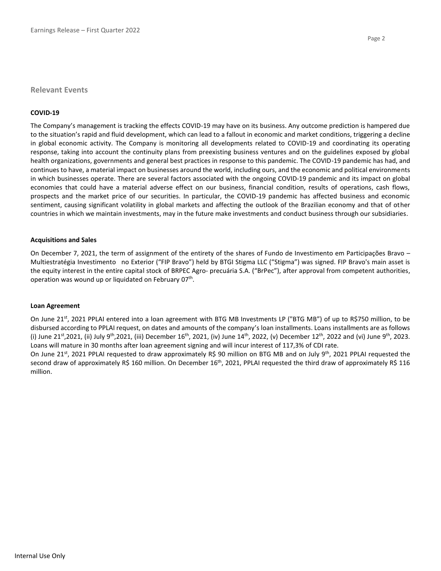#### **Relevant Events**

#### **COVID-19**

The Company's management is tracking the effects COVID-19 may have on its business. Any outcome prediction is hampered due to the situation's rapid and fluid development, which can lead to a fallout in economic and market conditions, triggering a decline in global economic activity. The Company is monitoring all developments related to COVID-19 and coordinating its operating response, taking into account the continuity plans from preexisting business ventures and on the guidelines exposed by global health organizations, governments and general best practices in response to this pandemic. The COVID-19 pandemic has had, and continues to have, a material impact on businesses around the world, including ours, and the economic and political environments in which businesses operate. There are several factors associated with the ongoing COVID-19 pandemic and its impact on global economies that could have a material adverse effect on our business, financial condition, results of operations, cash flows, prospects and the market price of our securities. In particular, the COVID-19 pandemic has affected business and economic sentiment, causing significant volatility in global markets and affecting the outlook of the Brazilian economy and that of other countries in which we maintain investments, may in the future make investments and conduct business through our subsidiaries.

#### **Acquisitions and Sales**

On December 7, 2021, the term of assignment of the entirety of the shares of Fundo de Investimento em Participações Bravo – Multiestratégia Investimento no Exterior ("FIP Bravo") held by BTGI Stigma LLC ("Stigma") was signed. FIP Bravo's main asset is the equity interest in the entire capital stock of BRPEC Agro‐ precuária S.A. ("BrPec"), after approval from competent authorities, operation was wound up or liquidated on February 07<sup>th</sup>.

#### **Loan Agreement**

On June 21<sup>st</sup>, 2021 PPLAI entered into a loan agreement with BTG MB Investments LP ("BTG MB") of up to R\$750 million, to be disbursed according to PPLAI request, on dates and amounts of the company's loan installments. Loans installments are as follows (i) June 21st,2021, (ii) July 9<sup>th</sup>,2021, (iii) December 16<sup>th</sup>, 2021, (iv) June 14<sup>th</sup>, 2022, (v) December 12<sup>th</sup>, 2022 and (vi) June 9<sup>th</sup>, 2023. Loans will mature in 30 months after loan agreement signing and will incur interest of 117,3% of CDI rate.

On June 21<sup>st</sup>, 2021 PPLAI requested to draw approximately R\$ 90 million on BTG MB and on July 9<sup>th</sup>, 2021 PPLAI requested the second draw of approximately R\$ 160 million. On December 16<sup>th</sup>, 2021, PPLAI requested the third draw of approximately R\$ 116 million.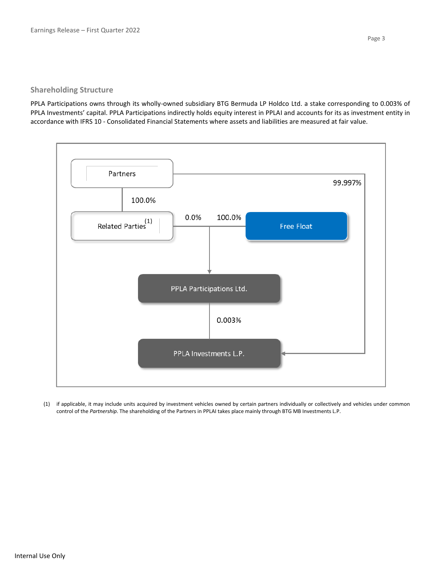## **Shareholding Structure**

PPLA Participations owns through its wholly-owned subsidiary BTG Bermuda LP Holdco Ltd. a stake corresponding to 0.003% of PPLA Investments' capital. PPLA Participations indirectly holds equity interest in PPLAI and accounts for its as investment entity in accordance with IFRS 10 - Consolidated Financial Statements where assets and liabilities are measured at fair value.



(1) if applicable, it may include units acquired by investment vehicles owned by certain partners individually or collectively and vehicles under common control of the *Partnership*. The shareholding of the Partners in PPLAI takes place mainly through BTG MB Investments L.P.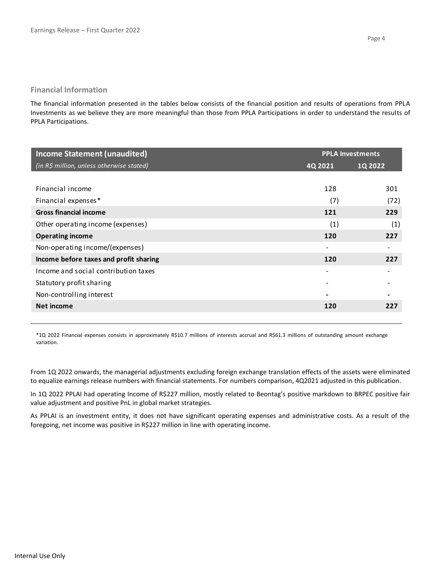## **Financial Information**

The financial information presented in the tables below consists of the financial position and results of operations from PPLA Investments as we believe they are more meaningful than those from PPLA Participations in order to understand the results of PPLA Participations.

| <b>Income Statement (unaudited)</b>       | <b>PPLA Investments</b> |         |  |
|-------------------------------------------|-------------------------|---------|--|
| (in R\$ million, unless otherwise stated) | 4Q 2021                 | 1Q 2022 |  |
|                                           |                         |         |  |
| Financial income                          | 128                     | 301     |  |
| Financial expenses*                       | (7)                     | (72)    |  |
| <b>Gross financial income</b>             | 121                     | 229     |  |
| Other operating income (expenses)         | (1)                     | (1)     |  |
| <b>Operating income</b>                   | 120                     | 227     |  |
| Non-operating income/(expenses)           | ۰                       |         |  |
| Income before taxes and profit sharing    | 120                     | 227     |  |
| Income and social contribution taxes      |                         |         |  |
| Statutory profit sharing                  |                         |         |  |
| Non-controlling interest                  |                         |         |  |
| Net income                                | 120                     | 227     |  |
|                                           |                         |         |  |

\*1Q 2022 Financial expenses consists in approximately R\$10.7 millions of interests accrual and R\$61.3 millions of outstanding amount exchange variation.

From 1Q 2022 onwards, the managerial adjustments excluding foreign exchange translation effects of the assets were eliminated to equalize earnings release numbers with financial statements. For numbers comparison, 4Q2021 adjusted in this publication.

In 1Q 2022 PPLAI had operating Income of R\$227 million, mostly related to Beontag's positive markdown to BRPEC positive fair value adjustment and positive PnL in global market strategies.

As PPLAI is an investment entity, it does not have significant operating expenses and administrative costs. As a result of the foregoing, net income was positive in R\$227 million in line with operating income.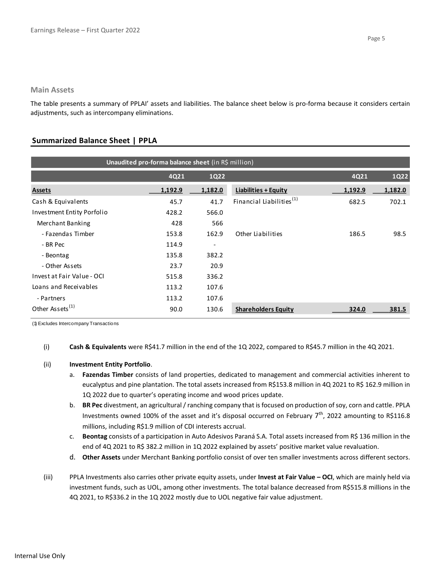The table presents a summary of PPLAI' assets and liabilities. The balance sheet below is pro-forma because it considers certain adjustments, such as intercompany eliminations.

# **Summarized Balance Sheet | PPLA**

| Unaudited pro-forma balance sheet (in R\$ million) |         |                          |                                      |         |         |  |  |
|----------------------------------------------------|---------|--------------------------|--------------------------------------|---------|---------|--|--|
|                                                    | 4Q21    | <b>1Q22</b>              |                                      | 4Q21    | 1Q22    |  |  |
| <b>Assets</b>                                      | 1,192.9 | 1,182.0                  | <b>Liabilities + Equity</b>          | 1,192.9 | 1,182.0 |  |  |
| Cash & Equivalents                                 | 45.7    | 41.7                     | Financial Liabilities <sup>(1)</sup> | 682.5   | 702.1   |  |  |
| Investment Entity Porfolio                         | 428.2   | 566.0                    |                                      |         |         |  |  |
| Merchant Banking                                   | 428     | 566                      |                                      |         |         |  |  |
| - Fazendas Timber                                  | 153.8   | 162.9                    | Other Liabilities                    | 186.5   | 98.5    |  |  |
| - BR Pec                                           | 114.9   | $\overline{\phantom{a}}$ |                                      |         |         |  |  |
| - Beontag                                          | 135.8   | 382.2                    |                                      |         |         |  |  |
| - Other Assets                                     | 23.7    | 20.9                     |                                      |         |         |  |  |
| Invest at Fair Value - OCI                         | 515.8   | 336.2                    |                                      |         |         |  |  |
| Loans and Receivables                              | 113.2   | 107.6                    |                                      |         |         |  |  |
| - Partners                                         | 113.2   | 107.6                    |                                      |         |         |  |  |
| Other Assets <sup>(1)</sup>                        | 90.0    | 130.6                    | <b>Shareholders Equity</b>           | 324.0   | 381.5   |  |  |

(1) Excludes Intercompany Transactions

(i) **Cash & Equivalents** were R\$41.7 million in the end of the 1Q 2022, compared to R\$45.7 million in the 4Q 2021.

### (ii) **Investment Entity Portfolio**.

- a. **Fazendas Timber** consists of land properties, dedicated to management and commercial activities inherent to eucalyptus and pine plantation. The total assets increased from R\$153.8 million in 4Q 2021 to R\$ 162.9 million in 1Q 2022 due to quarter's operating income and wood prices update.
- b. **BR Pec** divestment, an agricultural / ranching company that is focused on production of soy, corn and cattle. PPLA Investments owned 100% of the asset and it's disposal occurred on February  $7<sup>th</sup>$ , 2022 amounting to R\$116.8 millions, including R\$1.9 million of CDI interests accrual.
- c. **Beontag** consists of a participation in Auto Adesivos Paraná S.A. Total assets increased from R\$ 136 million in the end of 4Q 2021 to R\$ 382.2 million in 1Q 2022 explained by assets' positive market value revaluation.
- d. **Other Assets** under Merchant Banking portfolio consist of over ten smaller investments across different sectors.
- (iii) PPLA Investments also carries other private equity assets, under **Invest at Fair Value – OCI**, which are mainly held via investment funds, such as UOL, among other investments. The total balance decreased from R\$515.8 millions in the 4Q 2021, to R\$336.2 in the 1Q 2022 mostly due to UOL negative fair value adjustment.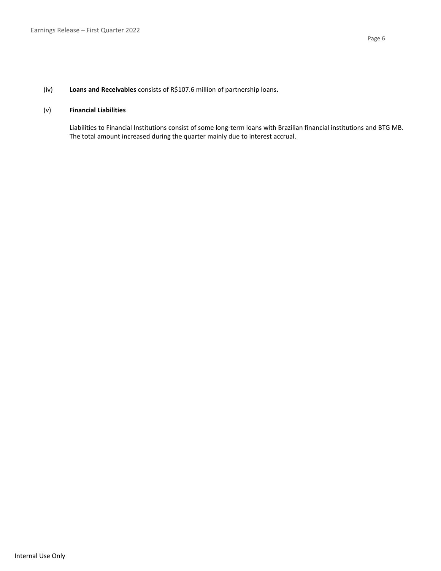# (iv) **Loans and Receivables** consists of R\$107.6 million of partnership loans.

#### (v) **Financial Liabilities**

Liabilities to Financial Institutions consist of some long-term loans with Brazilian financial institutions and BTG MB. The total amount increased during the quarter mainly due to interest accrual.